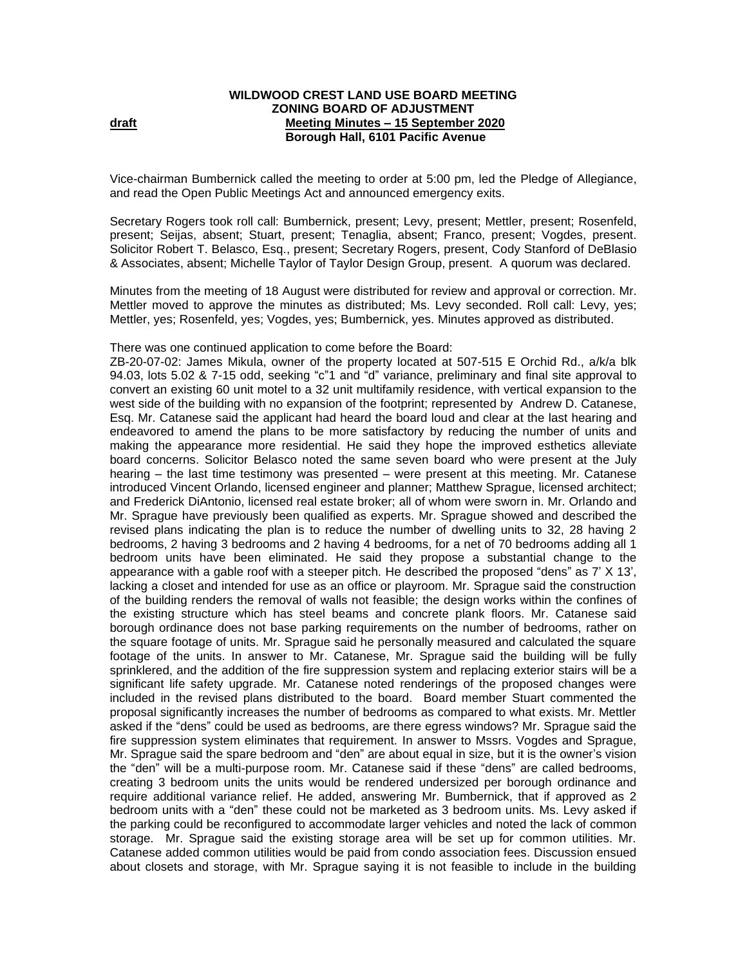## **WILDWOOD CREST LAND USE BOARD MEETING ZONING BOARD OF ADJUSTMENT draft draft draft 15 September 2020 Borough Hall, 6101 Pacific Avenue**

Vice-chairman Bumbernick called the meeting to order at 5:00 pm, led the Pledge of Allegiance, and read the Open Public Meetings Act and announced emergency exits.

Secretary Rogers took roll call: Bumbernick, present; Levy, present; Mettler, present; Rosenfeld, present; Seijas, absent; Stuart, present; Tenaglia, absent; Franco, present; Vogdes, present. Solicitor Robert T. Belasco, Esq., present; Secretary Rogers, present, Cody Stanford of DeBlasio & Associates, absent; Michelle Taylor of Taylor Design Group, present.A quorum was declared.

Minutes from the meeting of 18 August were distributed for review and approval or correction. Mr. Mettler moved to approve the minutes as distributed; Ms. Levy seconded. Roll call: Levy, yes; Mettler, yes; Rosenfeld, yes; Vogdes, yes; Bumbernick, yes. Minutes approved as distributed.

There was one continued application to come before the Board:

ZB-20-07-02: James Mikula, owner of the property located at 507-515 E Orchid Rd., a/k/a blk 94.03, lots 5.02 & 7-15 odd, seeking "c"1 and "d" variance, preliminary and final site approval to convert an existing 60 unit motel to a 32 unit multifamily residence, with vertical expansion to the west side of the building with no expansion of the footprint; represented by Andrew D. Catanese, Esq. Mr. Catanese said the applicant had heard the board loud and clear at the last hearing and endeavored to amend the plans to be more satisfactory by reducing the number of units and making the appearance more residential. He said they hope the improved esthetics alleviate board concerns. Solicitor Belasco noted the same seven board who were present at the July hearing – the last time testimony was presented – were present at this meeting. Mr. Catanese introduced Vincent Orlando, licensed engineer and planner; Matthew Sprague, licensed architect; and Frederick DiAntonio, licensed real estate broker; all of whom were sworn in. Mr. Orlando and Mr. Sprague have previously been qualified as experts. Mr. Sprague showed and described the revised plans indicating the plan is to reduce the number of dwelling units to 32, 28 having 2 bedrooms, 2 having 3 bedrooms and 2 having 4 bedrooms, for a net of 70 bedrooms adding all 1 bedroom units have been eliminated. He said they propose a substantial change to the appearance with a gable roof with a steeper pitch. He described the proposed "dens" as 7' X 13', lacking a closet and intended for use as an office or playroom. Mr. Sprague said the construction of the building renders the removal of walls not feasible; the design works within the confines of the existing structure which has steel beams and concrete plank floors. Mr. Catanese said borough ordinance does not base parking requirements on the number of bedrooms, rather on the square footage of units. Mr. Sprague said he personally measured and calculated the square footage of the units. In answer to Mr. Catanese, Mr. Sprague said the building will be fully sprinklered, and the addition of the fire suppression system and replacing exterior stairs will be a significant life safety upgrade. Mr. Catanese noted renderings of the proposed changes were included in the revised plans distributed to the board. Board member Stuart commented the proposal significantly increases the number of bedrooms as compared to what exists. Mr. Mettler asked if the "dens" could be used as bedrooms, are there egress windows? Mr. Sprague said the fire suppression system eliminates that requirement. In answer to Mssrs. Vogdes and Sprague, Mr. Sprague said the spare bedroom and "den" are about equal in size, but it is the owner's vision the "den" will be a multi-purpose room. Mr. Catanese said if these "dens" are called bedrooms, creating 3 bedroom units the units would be rendered undersized per borough ordinance and require additional variance relief. He added, answering Mr. Bumbernick, that if approved as 2 bedroom units with a "den" these could not be marketed as 3 bedroom units. Ms. Levy asked if the parking could be reconfigured to accommodate larger vehicles and noted the lack of common storage. Mr. Sprague said the existing storage area will be set up for common utilities. Mr. Catanese added common utilities would be paid from condo association fees. Discussion ensued about closets and storage, with Mr. Sprague saying it is not feasible to include in the building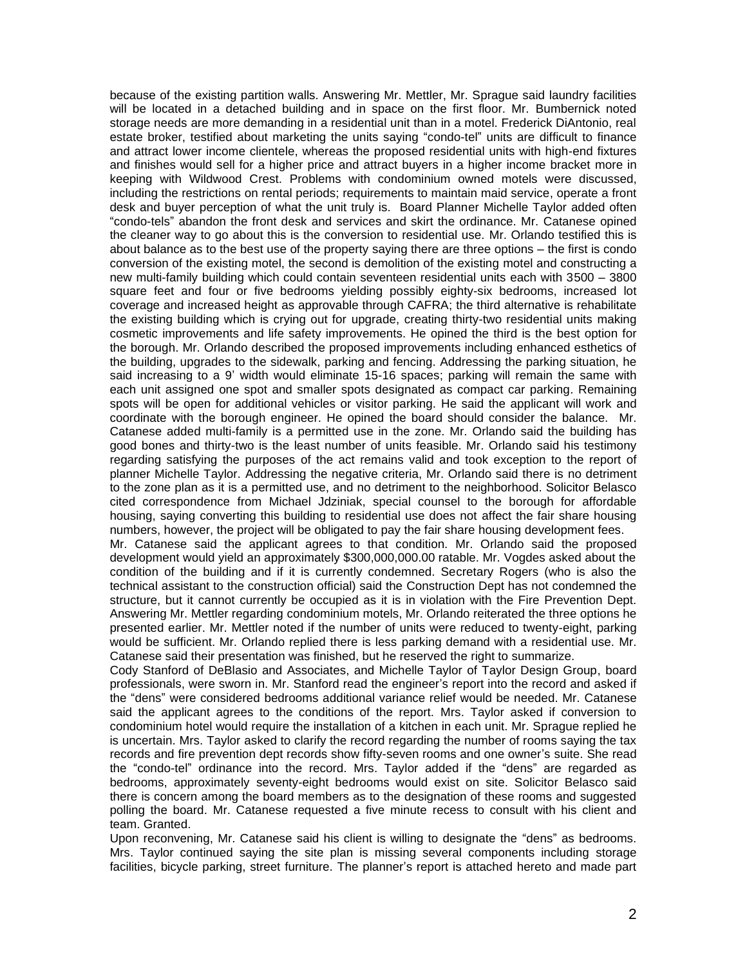because of the existing partition walls. Answering Mr. Mettler, Mr. Sprague said laundry facilities will be located in a detached building and in space on the first floor. Mr. Bumbernick noted storage needs are more demanding in a residential unit than in a motel. Frederick DiAntonio, real estate broker, testified about marketing the units saying "condo-tel" units are difficult to finance and attract lower income clientele, whereas the proposed residential units with high-end fixtures and finishes would sell for a higher price and attract buyers in a higher income bracket more in keeping with Wildwood Crest. Problems with condominium owned motels were discussed, including the restrictions on rental periods; requirements to maintain maid service, operate a front desk and buyer perception of what the unit truly is. Board Planner Michelle Taylor added often "condo-tels" abandon the front desk and services and skirt the ordinance. Mr. Catanese opined the cleaner way to go about this is the conversion to residential use. Mr. Orlando testified this is about balance as to the best use of the property saying there are three options – the first is condo conversion of the existing motel, the second is demolition of the existing motel and constructing a new multi-family building which could contain seventeen residential units each with 3500 – 3800 square feet and four or five bedrooms yielding possibly eighty-six bedrooms, increased lot coverage and increased height as approvable through CAFRA; the third alternative is rehabilitate the existing building which is crying out for upgrade, creating thirty-two residential units making cosmetic improvements and life safety improvements. He opined the third is the best option for the borough. Mr. Orlando described the proposed improvements including enhanced esthetics of the building, upgrades to the sidewalk, parking and fencing. Addressing the parking situation, he said increasing to a 9' width would eliminate 15-16 spaces; parking will remain the same with each unit assigned one spot and smaller spots designated as compact car parking. Remaining spots will be open for additional vehicles or visitor parking. He said the applicant will work and coordinate with the borough engineer. He opined the board should consider the balance. Mr. Catanese added multi-family is a permitted use in the zone. Mr. Orlando said the building has good bones and thirty-two is the least number of units feasible. Mr. Orlando said his testimony regarding satisfying the purposes of the act remains valid and took exception to the report of planner Michelle Taylor. Addressing the negative criteria, Mr. Orlando said there is no detriment to the zone plan as it is a permitted use, and no detriment to the neighborhood. Solicitor Belasco cited correspondence from Michael Jdziniak, special counsel to the borough for affordable housing, saying converting this building to residential use does not affect the fair share housing numbers, however, the project will be obligated to pay the fair share housing development fees. Mr. Catanese said the applicant agrees to that condition. Mr. Orlando said the proposed

development would yield an approximately \$300,000,000.00 ratable. Mr. Vogdes asked about the condition of the building and if it is currently condemned. Secretary Rogers (who is also the technical assistant to the construction official) said the Construction Dept has not condemned the structure, but it cannot currently be occupied as it is in violation with the Fire Prevention Dept. Answering Mr. Mettler regarding condominium motels, Mr. Orlando reiterated the three options he presented earlier. Mr. Mettler noted if the number of units were reduced to twenty-eight, parking would be sufficient. Mr. Orlando replied there is less parking demand with a residential use. Mr. Catanese said their presentation was finished, but he reserved the right to summarize.

Cody Stanford of DeBlasio and Associates, and Michelle Taylor of Taylor Design Group, board professionals, were sworn in. Mr. Stanford read the engineer's report into the record and asked if the "dens" were considered bedrooms additional variance relief would be needed. Mr. Catanese said the applicant agrees to the conditions of the report. Mrs. Taylor asked if conversion to condominium hotel would require the installation of a kitchen in each unit. Mr. Sprague replied he is uncertain. Mrs. Taylor asked to clarify the record regarding the number of rooms saying the tax records and fire prevention dept records show fifty-seven rooms and one owner's suite. She read the "condo-tel" ordinance into the record. Mrs. Taylor added if the "dens" are regarded as bedrooms, approximately seventy-eight bedrooms would exist on site. Solicitor Belasco said there is concern among the board members as to the designation of these rooms and suggested polling the board. Mr. Catanese requested a five minute recess to consult with his client and team. Granted.

Upon reconvening, Mr. Catanese said his client is willing to designate the "dens" as bedrooms. Mrs. Taylor continued saying the site plan is missing several components including storage facilities, bicycle parking, street furniture. The planner's report is attached hereto and made part